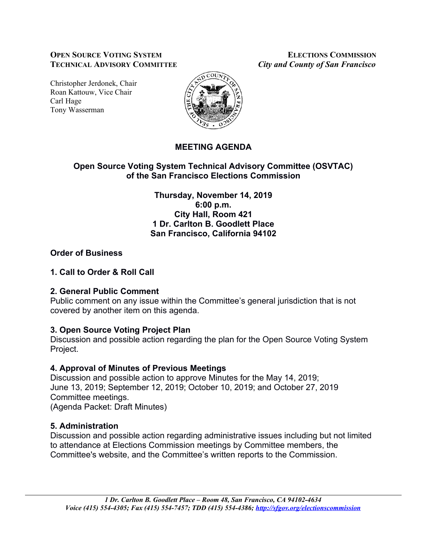### **OPEN SOURCE VOTING SYSTEM ELECTIONS COMMISSION TECHNICAL ADVISORY COMMITTEE** *City and County of San Francisco*

Christopher Jerdonek, Chair Roan Kattouw, Vice Chair Carl Hage Tony Wasserman



# **MEETING AGENDA**

## **Open Source Voting System Technical Advisory Committee (OSVTAC) of the San Francisco Elections Commission**

**Thursday, November 14, 2019 6:00 p.m. City Hall, Room 421 1 Dr. Carlton B. Goodlett Place San Francisco, California 94102**

## **Order of Business**

## **1. Call to Order & Roll Call**

### **2. General Public Comment**

Public comment on any issue within the Committee's general jurisdiction that is not covered by another item on this agenda.

# **3. Open Source Voting Project Plan**

Discussion and possible action regarding the plan for the Open Source Voting System Project.

# **4. Approval of Minutes of Previous Meetings**

Discussion and possible action to approve Minutes for the May 14, 2019; June 13, 2019; September 12, 2019; October 10, 2019; and October 27, 2019 Committee meetings. (Agenda Packet: Draft Minutes)

# **5. Administration**

Discussion and possible action regarding administrative issues including but not limited to attendance at Elections Commission meetings by Committee members, the Committee's website, and the Committee's written reports to the Commission.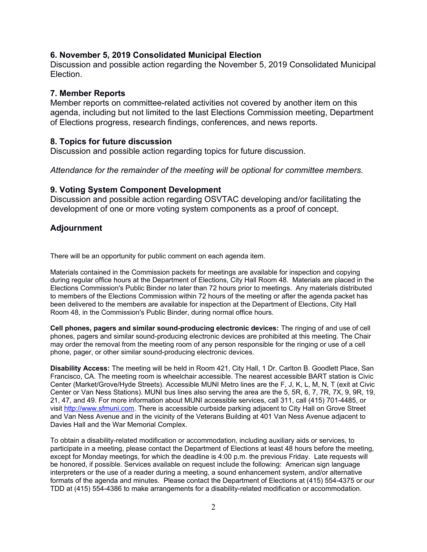#### **6. November 5, 2019 Consolidated Municipal Election**

Discussion and possible action regarding the November 5, 2019 Consolidated Municipal **Election** 

#### **7. Member Reports**

Member reports on committee-related activities not covered by another item on this agenda, including but not limited to the last Elections Commission meeting, Department of Elections progress, research findings, conferences, and news reports.

#### **8. Topics for future discussion**

Discussion and possible action regarding topics for future discussion.

*Attendance for the remainder of the meeting will be optional for committee members.*

#### **9. Voting System Component Development**

Discussion and possible action regarding OSVTAC developing and/or facilitating the development of one or more voting system components as a proof of concept.

### **Adjournment**

There will be an opportunity for public comment on each agenda item.

Materials contained in the Commission packets for meetings are available for inspection and copying during regular office hours at the Department of Elections, City Hall Room 48. Materials are placed in the Elections Commission's Public Binder no later than 72 hours prior to meetings. Any materials distributed to members of the Elections Commission within 72 hours of the meeting or after the agenda packet has been delivered to the members are available for inspection at the Department of Elections, City Hall Room 48, in the Commission's Public Binder, during normal office hours.

**Cell phones, pagers and similar sound-producing electronic devices:** The ringing of and use of cell phones, pagers and similar sound-producing electronic devices are prohibited at this meeting. The Chair may order the removal from the meeting room of any person responsible for the ringing or use of a cell phone, pager, or other similar sound-producing electronic devices.

**Disability Access:** The meeting will be held in Room 421, City Hall, 1 Dr. Carlton B. Goodlett Place, San Francisco, CA. The meeting room is wheelchair accessible. The nearest accessible BART station is Civic Center (Market/Grove/Hyde Streets). Accessible MUNI Metro lines are the F, J, K, L, M, N, T (exit at Civic Center or Van Ness Stations). MUNI bus lines also serving the area are the 5, 5R, 6, 7, 7R, 7X, 9, 9R, 19, 21, 47, and 49. For more information about MUNI accessible services, call 311, call (415) 701-4485, or visit [http://www.sfmuni.com.](http://www.sfmuni.com/) There is accessible curbside parking adjacent to City Hall on Grove Street and Van Ness Avenue and in the vicinity of the Veterans Building at 401 Van Ness Avenue adjacent to Davies Hall and the War Memorial Complex.

To obtain a disability-related modification or accommodation, including auxiliary aids or services, to participate in a meeting, please contact the Department of Elections at least 48 hours before the meeting, except for Monday meetings, for which the deadline is 4:00 p.m. the previous Friday. Late requests will be honored, if possible. Services available on request include the following: American sign language interpreters or the use of a reader during a meeting, a sound enhancement system, and/or alternative formats of the agenda and minutes. Please contact the Department of Elections at (415) 554-4375 or our TDD at (415) 554-4386 to make arrangements for a disability-related modification or accommodation.